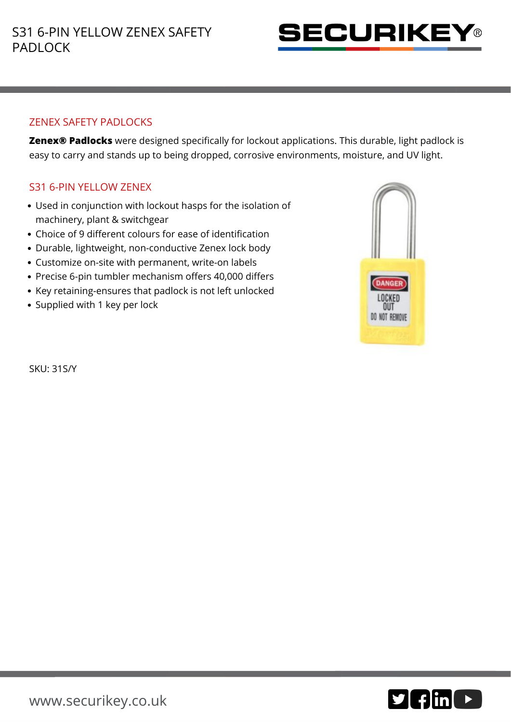

## ZENEX SAFETY PADLOCKS

**Zenex® Padlocks** were designed specifically for lockout applications. This durable, light padlock is easy to carry and stands up to being dropped, corrosive environments, moisture, and UV light.

## S31 6-PIN YELLOW ZENEX

- Used in conjunction with lockout hasps for the isolation of machinery, plant & switchgear
- Choice of 9 different colours for ease of identification
- Durable, lightweight, non-conductive Zenex lock body
- Customize on-site with permanent, write-on labels
- Precise 6-pin tumbler mechanism offers 40,000 differs
- Key retaining-ensures that padlock is not left unlocked
- Supplied with 1 key per lock



SKU: 31S/Y

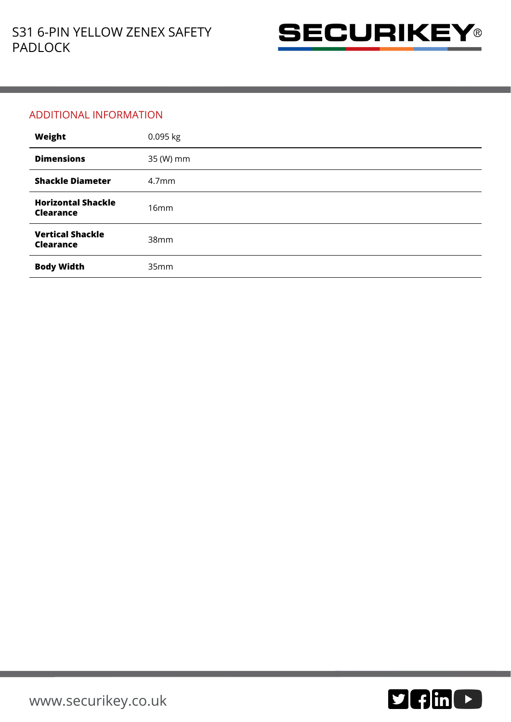

## ADDITIONAL INFORMATION

| Weight                                        | 0.095 kg          |
|-----------------------------------------------|-------------------|
| <b>Dimensions</b>                             | 35 (W) mm         |
| <b>Shackle Diameter</b>                       | 4.7 <sub>mm</sub> |
| <b>Horizontal Shackle</b><br><b>Clearance</b> | 16mm              |
| <b>Vertical Shackle</b><br><b>Clearance</b>   | 38mm              |
| <b>Body Width</b>                             | 35mm              |

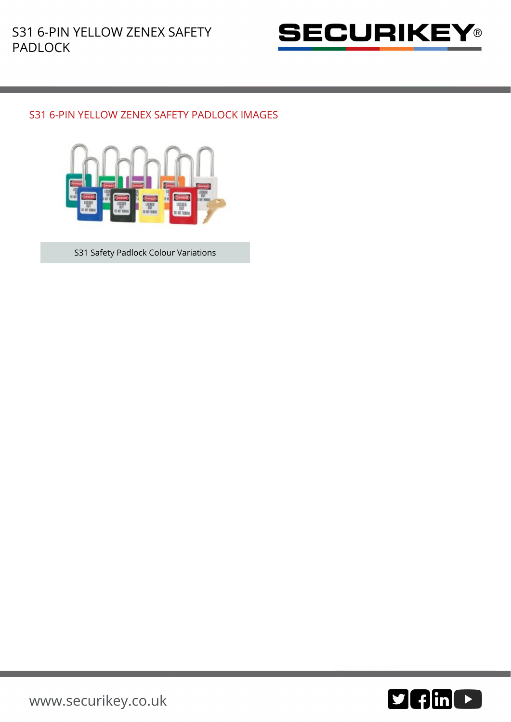

## S31 6-PIN YELLOW ZENEX SAFETY PADLOCK IMAGES



S31 Safety Padlock Colour Variations